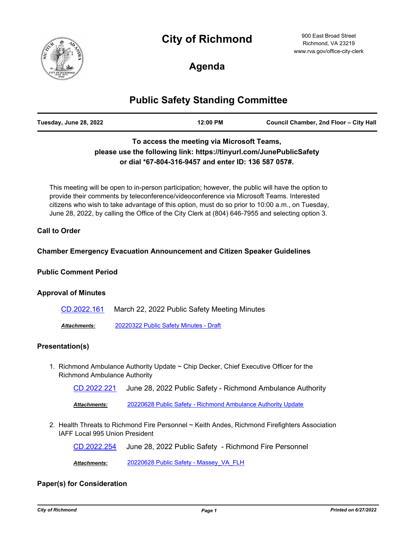# **City of Richmond**



900 East Broad Street Richmond, VA 23219 www.rva.gov/office-city-clerk

## **Agenda**

## **Public Safety Standing Committee**

| Tuesday, June 28, 2022 | 12:00 PM | Council Chamber, 2nd Floor - City Hall |
|------------------------|----------|----------------------------------------|
|                        |          |                                        |

## **To access the meeting via Microsoft Teams, please use the following link: https://tinyurl.com/JunePublicSafety or dial \*67-804-316-9457 and enter ID: 136 587 057#.**

This meeting will be open to in-person participation; however, the public will have the option to provide their comments by teleconference/videoconference via Microsoft Teams. Interested citizens who wish to take advantage of this option, must do so prior to 10:00 a.m., on Tuesday, June 28, 2022, by calling the Office of the City Clerk at (804) 646-7955 and selecting option 3.

#### **Call to Order**

#### **Chamber Emergency Evacuation Announcement and Citizen Speaker Guidelines**

#### **Public Comment Period**

#### **Approval of Minutes**

| CD.2022.161         | March 22, 2022 Public Safety Meeting Minutes |
|---------------------|----------------------------------------------|
| <b>Attachments:</b> | 20220322 Public Safety Minutes - Draft       |

# **Presentation(s)**

1. Richmond Ambulance Authority Update ~ Chip Decker, Chief Executive Officer for the Richmond Ambulance Authority

[CD.2022.221](http://richmondva.legistar.com/gateway.aspx?m=l&id=/matter.aspx?key=32178) June 28, 2022 Public Safety - Richmond Ambulance Authority

*Attachments:* [20220628 Public Safety - Richmond Ambulance Authority Update](http://richmondva.legistar.com/gateway.aspx?M=F&ID=4e434034-35c1-4d5e-9a8c-d64e097dc6d3.pdf)

2. Health Threats to Richmond Fire Personnel ~ Keith Andes, Richmond Firefighters Association IAFF Local 995 Union President

[CD.2022.254](http://richmondva.legistar.com/gateway.aspx?m=l&id=/matter.aspx?key=32377) June 28, 2022 Public Safety - Richmond Fire Personnel

*Attachments:* [20220628 Public Safety - Massey\\_VA\\_FLH](http://richmondva.legistar.com/gateway.aspx?M=F&ID=16e100f5-3d88-47e8-a3a6-57e310c5ca95.pdf)

### **Paper(s) for Consideration**